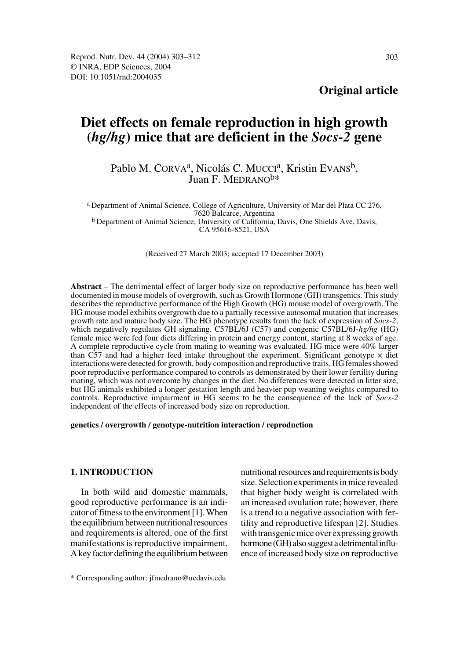# **Diet effects on female reproduction in high growth (***hg/hg***) mice that are deficient in the** *Socs-2* **gene**

## Pablo M. CORVA<sup>a</sup>, Nicolás C. MUCCI<sup>a</sup>, Kristin EVANS<sup>b</sup>, Juan F. MEDRANO $b*$

a Department of Animal Science, College of Agriculture, University of Mar del Plata CC 276, 7620 Balcarce, Argentina b Department of Animal Science, University of California, Davis, One Shields Ave, Davis, CA 95616-8521, USA

(Received 27 March 2003; accepted 17 December 2003)

**Abstract** – The detrimental effect of larger body size on reproductive performance has been well documented in mouse models of overgrowth, such as Growth Hormone (GH) transgenics. This study describes the reproductive performance of the High Growth (HG) mouse model of overgrowth. The HG mouse model exhibits overgrowth due to a partially recessive autosomal mutation that increases growth rate and mature body size. The HG phenotype results from the lack of expression of *Socs-2*, which negatively regulates GH signaling*.* C57BL/6J (C57) and congenic C57BL/6J-*hg/hg* (HG) female mice were fed four diets differing in protein and energy content, starting at 8 weeks of age. A complete reproductive cycle from mating to weaning was evaluated. HG mice were 40% larger than C57 and had a higher feed intake throughout the experiment. Significant genotype  $\times$  diet interactions were detected for growth, body composition and reproductive traits. HG females showed poor reproductive performance compared to controls as demonstrated by their lower fertility during mating, which was not overcome by changes in the diet. No differences were detected in litter size, but HG animals exhibited a longer gestation length and heavier pup weaning weights compared to controls. Reproductive impairment in HG seems to be the consequence of the lack of *Socs-2* independent of the effects of increased body size on reproduction.

#### **genetics / overgrowth / genotype-nutrition interaction / reproduction**

## **1. INTRODUCTION**

In both wild and domestic mammals, good reproductive performance is an indicator of fitness to the environment [1]. When the equilibrium between nutritional resources and requirements is altered, one of the first manifestations is reproductive impairment. A key factor defining the equilibrium between nutritional resources and requirements is body size. Selection experiments in mice revealed that higher body weight is correlated with an increased ovulation rate; however, there is a trend to a negative association with fertility and reproductive lifespan [2]. Studies with transgenic mice over expressing growth hormone (GH) also suggest a detrimental influence of increased body size on reproductive

<sup>\*</sup> Corresponding author: jfmedrano@ucdavis.edu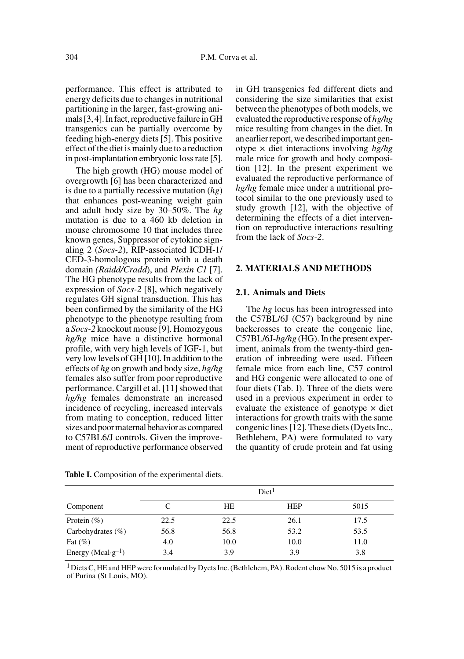performance. This effect is attributed to energy deficits due to changes in nutritional partitioning in the larger, fast-growing animals [3, 4]. In fact, reproductive failure in GH transgenics can be partially overcome by feeding high-energy diets [5]. This positive effect of the diet is mainly due to a reduction in post-implantation embryonic loss rate [5].

The high growth (HG) mouse model of overgrowth [6] has been characterized and is due to a partially recessive mutation (*hg*) that enhances post-weaning weight gain and adult body size by 30–50%. The *hg* mutation is due to a 460 kb deletion in mouse chromosome 10 that includes three known genes, Suppressor of cytokine signaling 2 (*Socs-2*), RIP-associated ICDH-1/ CED-3-homologous protein with a death domain *(Raidd/Cradd*), and *Plexin C1* [7]. The HG phenotype results from the lack of expression of *Socs-2* [8], which negatively regulates GH signal transduction. This has been confirmed by the similarity of the HG phenotype to the phenotype resulting from a *Socs-2* knockout mouse [9]. Homozygous *hg/hg* mice have a distinctive hormonal profile, with very high levels of IGF-1, but very low levels of GH [10]. In addition to the effects of *hg* on growth and body size, *hg/hg* females also suffer from poor reproductive performance. Cargill et al. [11] showed that *hg/hg* females demonstrate an increased incidence of recycling, increased intervals from mating to conception, reduced litter sizes and poor maternal behavior as compared to C57BL6/J controls. Given the improvement of reproductive performance observed in GH transgenics fed different diets and considering the size similarities that exist between the phenotypes of both models, we evaluated the reproductive response of *hg/hg* mice resulting from changes in the diet. In an earlier report, we described important genotype × diet interactions involving *hg/hg* male mice for growth and body composition [12]. In the present experiment we evaluated the reproductive performance of *hg/hg* female mice under a nutritional protocol similar to the one previously used to study growth [12], with the objective of determining the effects of a diet intervention on reproductive interactions resulting from the lack of *Socs-2*.

#### **2. MATERIALS AND METHODS**

#### **2.1. Animals and Diets**

The *hg* locus has been introgressed into the C57BL/6J (C57) background by nine backcrosses to create the congenic line, C57BL/6J-*hg/hg* (HG). In the present experiment, animals from the twenty-third generation of inbreeding were used. Fifteen female mice from each line, C57 control and HG congenic were allocated to one of four diets (Tab. I). Three of the diets were used in a previous experiment in order to evaluate the existence of genotype  $\times$  diet interactions for growth traits with the same congenic lines [12]. These diets (Dyets Inc., Bethlehem, PA) were formulated to vary the quantity of crude protein and fat using

|                                | Diet <sup>1</sup> |      |            |      |  |  |
|--------------------------------|-------------------|------|------------|------|--|--|
| Component                      | C                 | HE   | <b>HEP</b> | 5015 |  |  |
| Protein $(\%)$                 | 22.5              | 22.5 | 26.1       | 17.5 |  |  |
| Carbohydrates $(\%)$           | 56.8              | 56.8 | 53.2       | 53.5 |  |  |
| Fat $(\%)$                     | 4.0               | 10.0 | 10.0       | 11.0 |  |  |
| Energy (Mcal·g <sup>-1</sup> ) | 3.4               | 3.9  | 3.9        | 3.8  |  |  |

**Table I.** Composition of the experimental diets.

 $1$  Diets C, HE and HEP were formulated by Dyets Inc. (Bethlehem, PA). Rodent chow No. 5015 is a product of Purina (St Louis, MO).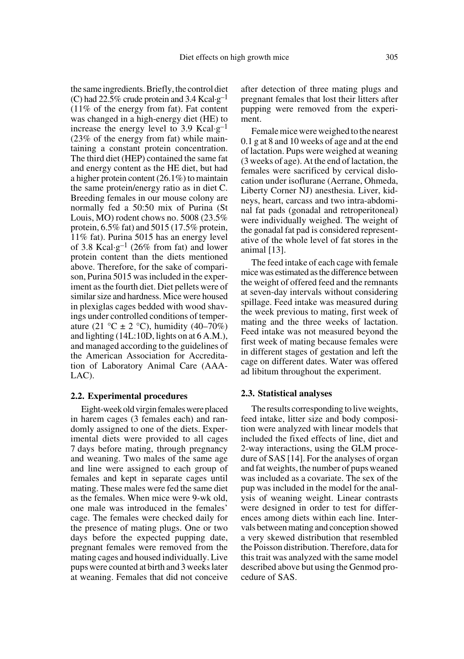after detection of three mating plugs and pregnant females that lost their litters after pupping were removed from the experiment.

Female mice were weighed to the nearest 0.1 g at 8 and 10 weeks of age and at the end of lactation. Pups were weighed at weaning (3 weeks of age). At the end of lactation, the females were sacrificed by cervical dislocation under isoflurane (Aerrane, Ohmeda, Liberty Corner NJ) anesthesia. Liver, kidneys, heart, carcass and two intra-abdominal fat pads (gonadal and retroperitoneal) were individually weighed. The weight of the gonadal fat pad is considered representative of the whole level of fat stores in the animal [13].

The feed intake of each cage with female mice was estimated as the difference between the weight of offered feed and the remnants at seven-day intervals without considering spillage. Feed intake was measured during the week previous to mating, first week of mating and the three weeks of lactation. Feed intake was not measured beyond the first week of mating because females were in different stages of gestation and left the cage on different dates. Water was offered ad libitum throughout the experiment.

#### **2.3. Statistical analyses**

The results corresponding to live weights, feed intake, litter size and body composition were analyzed with linear models that included the fixed effects of line, diet and 2-way interactions, using the GLM procedure of SAS [14]. For the analyses of organ and fat weights, the number of pups weaned was included as a covariate. The sex of the pup was included in the model for the analysis of weaning weight. Linear contrasts were designed in order to test for differences among diets within each line. Intervals between mating and conception showed a very skewed distribution that resembled the Poisson distribution. Therefore, data for this trait was analyzed with the same model described above but using the Genmod procedure of SAS.

the same ingredients. Briefly, the control diet (C) had 22.5% crude protein and 3.4 Kcal·g<sup>-1</sup> (11% of the energy from fat). Fat content was changed in a high-energy diet (HE) to increase the energy level to 3.9 Kcal $\cdot$ g<sup>-1</sup> (23% of the energy from fat) while maintaining a constant protein concentration. The third diet (HEP) contained the same fat and energy content as the HE diet, but had a higher protein content (26.1%) to maintain the same protein/energy ratio as in diet C. Breeding females in our mouse colony are normally fed a 50:50 mix of Purina (St Louis, MO) rodent chows no. 5008 (23.5% protein, 6.5% fat) and 5015 (17.5% protein, 11% fat). Purina 5015 has an energy level of 3.8 Kcal·g<sup>-1</sup> (26% from fat) and lower protein content than the diets mentioned above. Therefore, for the sake of comparison, Purina 5015 was included in the experiment as the fourth diet. Diet pellets were of similar size and hardness. Mice were housed in plexiglas cages bedded with wood shavings under controlled conditions of temperature (21 °C  $\pm$  2 °C), humidity (40–70%) and lighting (14L:10D, lights on at 6 A.M.), and managed according to the guidelines of the American Association for Accreditation of Laboratory Animal Care (AAA-LAC).

#### **2.2. Experimental procedures**

Eight-week old virgin females were placed in harem cages (3 females each) and randomly assigned to one of the diets. Experimental diets were provided to all cages 7 days before mating, through pregnancy and weaning. Two males of the same age and line were assigned to each group of females and kept in separate cages until mating. These males were fed the same diet as the females. When mice were 9-wk old, one male was introduced in the females' cage. The females were checked daily for the presence of mating plugs. One or two days before the expected pupping date, pregnant females were removed from the mating cages and housed individually. Live pups were counted at birth and 3 weeks later at weaning. Females that did not conceive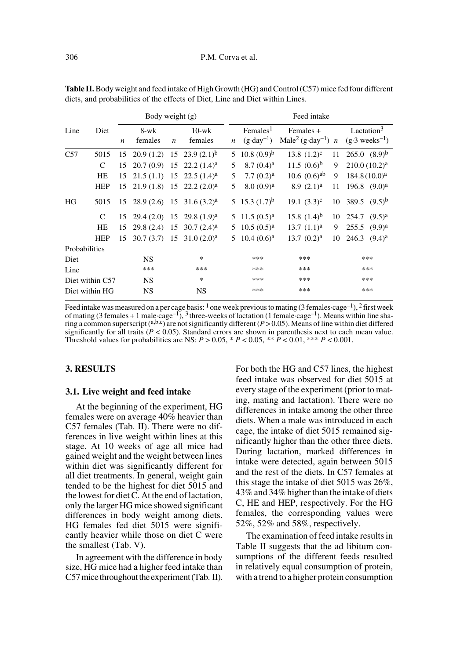| Body weight $(g)$            |            |                  |                 |                  | Feed intake                             |                  |                                                 |                                                                |     |                                                     |
|------------------------------|------------|------------------|-----------------|------------------|-----------------------------------------|------------------|-------------------------------------------------|----------------------------------------------------------------|-----|-----------------------------------------------------|
| Line                         | Diet       | $\boldsymbol{n}$ | 8-wk<br>females | $\boldsymbol{n}$ | $10-wk$<br>females                      | $\boldsymbol{n}$ | $F$ emales <sup>1</sup><br>$(g \cdot day^{-1})$ | Females +<br>Male <sup>2</sup> (g·day <sup>-1</sup> ) <i>n</i> |     | Lactation $3$<br>$(g \cdot 3$ weeks <sup>-1</sup> ) |
| C57                          | 5015       | 15               |                 |                  | $20.9(1.2)$ 15 $23.9(2.1)$ <sup>b</sup> | 5.               | $10.8(0.9)^{b}$                                 | 13.8 $(1.2)^c$                                                 | 11  | $265.0$ $(8.9)^b$                                   |
|                              | C          | 15               | 20.7(0.9)       |                  | 15 22.2 $(1.4)^a$                       | 5                | 8.7(0.4) <sup>a</sup>                           | 11.5 $(0.6)^b$                                                 | 9   | $210.0(10.2)^a$                                     |
|                              | HE         | 15               | 21.5(1.1)       |                  | 15 22.5 $(1.4)^a$                       | 5                | 7.7(0.2) <sup>a</sup>                           | 10.6 $(0.6)^{ab}$                                              | 9   | 184.8(10.0) <sup>a</sup>                            |
|                              | <b>HEP</b> | 15               | $21.9(1.8)$ 15  |                  | $22.2(2.0)^a$                           | 5                | 8.0(0.9) <sup>a</sup>                           | 8.9(2.1) <sup>a</sup>                                          | 11  | 196.8 $(9.0)^a$                                     |
| HG                           | 5015       | 15               |                 |                  | $28.9(2.6)$ 15 31.6 $(3.2)^a$           |                  | 5 15.3 $(1.7)^{b}$                              | 19.1 $(3.3)^c$                                                 | 10  | 389.5 $(9.5)^b$                                     |
|                              | C          | 15               |                 |                  | $29.4(2.0)$ 15 29.8 $(1.9)^a$           |                  | 5 11.5 $(0.5)^a$                                | 15.8 $(1.4)^b$                                                 | 10  | $254.7$ $(9.5)^a$                                   |
|                              | HE         | 15               | 29.8 (2.4)      | 15               | $30.7(2.4)^a$                           | 5.               | $10.5(0.5)^{a}$                                 | $13.7 (1.1)^a$                                                 | 9   | 255.5<br>$(9.9)^{a}$                                |
|                              | <b>HEP</b> | 15               |                 |                  | $30.7(3.7)$ 15 $31.0(2.0)^a$            | 5.               | $10.4(0.6)^a$                                   | $13.7 (0.2)^a$                                                 | 10  | 246.3<br>$(9.4)^{a}$                                |
| Probabilities                |            |                  |                 |                  |                                         |                  |                                                 |                                                                |     |                                                     |
| Diet                         |            |                  | <b>NS</b>       |                  | $\ast$<br>***                           |                  |                                                 | ***                                                            |     | ***                                                 |
| Line                         |            | ***              | ***             |                  |                                         | ***              | ***                                             |                                                                | *** |                                                     |
| <b>NS</b><br>Diet within C57 |            |                  | $\ast$          |                  |                                         | ***              | ***                                             |                                                                | *** |                                                     |
| Diet within HG               |            |                  | <b>NS</b>       | <b>NS</b>        |                                         |                  | ***                                             | ***                                                            |     | ***                                                 |

**Table II.** Body weight and feed intake of High Growth (HG) and Control (C57) mice fed four different diets, and probabilities of the effects of Diet, Line and Diet within Lines.

Feed intake was measured on a per cage basis:  $\frac{1}{2}$  one week previous to mating (3 females·cage<sup>-1</sup>),  $\frac{2}{3}$  first week of mating (3 females + 1 male·cage<sup>-1</sup>), <sup>3</sup> three-weeks of lactation (1 female·cage<sup>-1</sup>). Means within line sharing a common superscript (a,b,c) are not significantly different (*P* > 0.05). Means of line within diet differed significantly for all traits ( $P < 0.05$ ). Standard errors are shown in parenthesis next to each mean value. Threshold values for probabilities are NS:  $P > 0.05$ ,  $* P < 0.05$ ,  $* \frac{P}{P} < 0.01$ ,  $* \frac{P}{P} < 0.001$ .

## **3. RESULTS**

#### **3.1. Live weight and feed intake**

At the beginning of the experiment, HG females were on average 40% heavier than C57 females (Tab. II). There were no differences in live weight within lines at this stage. At 10 weeks of age all mice had gained weight and the weight between lines within diet was significantly different for all diet treatments. In general, weight gain tended to be the highest for diet 5015 and the lowest for diet C. At the end of lactation, only the larger HG mice showed significant differences in body weight among diets. HG females fed diet 5015 were significantly heavier while those on diet C were the smallest (Tab. V).

In agreement with the difference in body size, HG mice had a higher feed intake than C57 mice throughout the experiment (Tab. II).

For both the HG and C57 lines, the highest feed intake was observed for diet 5015 at every stage of the experiment (prior to mating, mating and lactation). There were no differences in intake among the other three diets. When a male was introduced in each cage, the intake of diet 5015 remained significantly higher than the other three diets. During lactation, marked differences in intake were detected, again between 5015 and the rest of the diets. In C57 females at this stage the intake of diet 5015 was 26%, 43% and 34% higher than the intake of diets C, HE and HEP, respectively. For the HG females, the corresponding values were 52%, 52% and 58%, respectively.

The examination of feed intake results in Table II suggests that the ad libitum consumptions of the different feeds resulted in relatively equal consumption of protein, with a trend to a higher protein consumption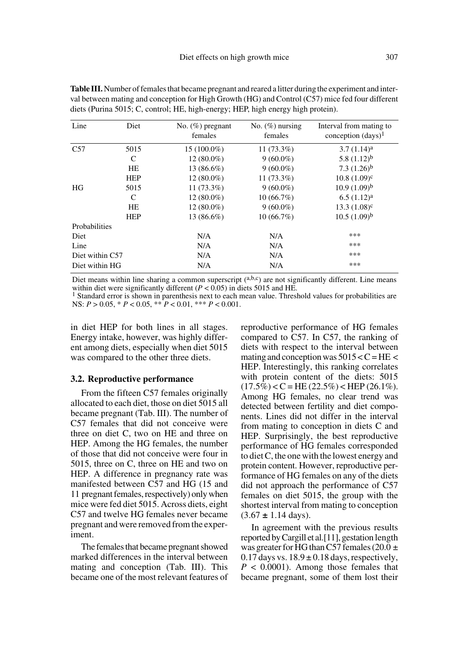| Line            | Diet       | No. $(\%)$ pregnant<br>females | No. $(\%)$ nursing<br>females | Interval from mating to<br>conception $(days)^1$ |
|-----------------|------------|--------------------------------|-------------------------------|--------------------------------------------------|
| C57             | 5015       | $15(100.0\%)$                  | $11(73.3\%)$                  | $3.7(1.14)^a$                                    |
|                 | C          | $12(80.0\%)$                   | $9(60.0\%)$                   | 5.8 $(1.12)^{b}$                                 |
|                 | HE         | 13 (86.6%)                     | $9(60.0\%)$                   | 7.3 $(1.26)^{b}$                                 |
|                 | <b>HEP</b> | $12(80.0\%)$                   | $11(73.3\%)$                  | $10.8(1.09)^c$                                   |
| HG              | 5015       | $11(73.3\%)$                   | $9(60.0\%)$                   | $10.9(1.09)^{b}$                                 |
|                 | C          | $12(80.0\%)$                   | 10(66.7%)                     | $6.5(1.12)^{a}$                                  |
|                 | HE         | $12(80.0\%)$                   | $9(60.0\%)$                   | $13.3(1.08)^c$                                   |
|                 | <b>HEP</b> | 13 (86.6%)                     | $10(66.7\%)$                  | $10.5(1.09)^{b}$                                 |
| Probabilities   |            |                                |                               |                                                  |
| Diet            |            | N/A                            | N/A                           | ***                                              |
| Line            |            | N/A                            | N/A                           | ***                                              |
| Diet within C57 |            | N/A                            | N/A                           | ***                                              |
| Diet within HG  |            | N/A                            | N/A                           | ***                                              |

**Table III.** Number of females that became pregnant and reared a litter during the experiment and interval between mating and conception for High Growth (HG) and Control (C57) mice fed four different diets (Purina 5015; C, control; HE, high-energy; HEP, high energy high protein).

Diet means within line sharing a common superscript  $(abc)$ , are not significantly different. Line means within diet were significantly different ( $P < 0.05$ ) in diets 5015 and HE.

<sup>1</sup> Standard error is shown in parenthesis next to each mean value. Threshold values for probabilities are NS: *P* > 0.05, \* *P* < 0.05, \*\* *P* < 0.01, \*\*\* *P* < 0.001.

in diet HEP for both lines in all stages. Energy intake, however, was highly different among diets, especially when diet 5015 was compared to the other three diets.

#### **3.2. Reproductive performance**

From the fifteen C57 females originally allocated to each diet, those on diet 5015 all became pregnant (Tab. III). The number of C57 females that did not conceive were three on diet C, two on HE and three on HEP. Among the HG females, the number of those that did not conceive were four in 5015, three on C, three on HE and two on HEP. A difference in pregnancy rate was manifested between C57 and HG (15 and 11 pregnant females, respectively) only when mice were fed diet 5015. Across diets, eight C57 and twelve HG females never became pregnant and were removed from the experiment.

The females that became pregnant showed marked differences in the interval between mating and conception (Tab. III). This became one of the most relevant features of reproductive performance of HG females compared to C57. In C57, the ranking of diets with respect to the interval between mating and conception was  $5015 < C = HE$ HEP. Interestingly, this ranking correlates with protein content of the diets: 5015  $(17.5\%) < C = HE(22.5\%) < HEP(26.1\%).$ Among HG females, no clear trend was detected between fertility and diet components. Lines did not differ in the interval from mating to conception in diets C and HEP. Surprisingly, the best reproductive performance of HG females corresponded to diet C, the one with the lowest energy and protein content. However, reproductive performance of HG females on any of the diets did not approach the performance of C57 females on diet 5015, the group with the shortest interval from mating to conception (3.67 **±** 1.14 days).

In agreement with the previous results reported by Cargill et al.[11], gestation length was greater for HG than C57 females (20.0  $\pm$  $0.17$  days vs.  $18.9 \pm 0.18$  days, respectively,  $P < 0.0001$ ). Among those females that became pregnant, some of them lost their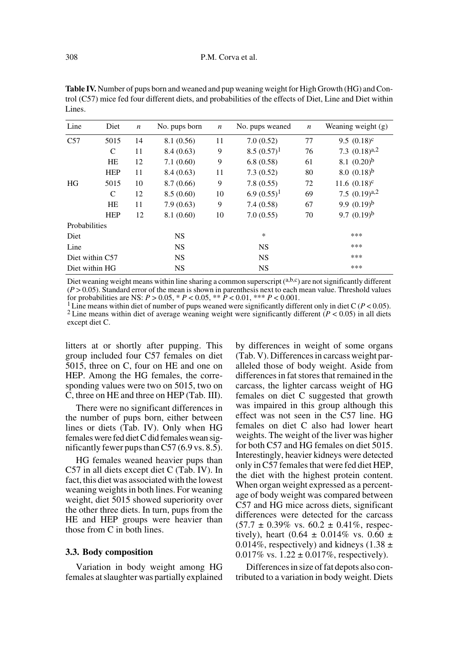| Line            | Diet       | $\boldsymbol{n}$ | No. pups born | $\boldsymbol{n}$ | No. pups weaned |     | Weaning weight $(g)$ |
|-----------------|------------|------------------|---------------|------------------|-----------------|-----|----------------------|
| C57             | 5015       | 14               | 8.1 (0.56)    | 11               | 7.0(0.52)       | 77  | 9.5 $(0.18)^c$       |
|                 | C          | 11               | 8.4(0.63)     | 9                | $8.5(0.57)^1$   | 76  | 7.3 $(0.18)^{a,2}$   |
|                 | HE         | 12               | 7.1(0.60)     | 9                | 6.8(0.58)       | 61  | 8.1 $(0.20)^b$       |
|                 | <b>HEP</b> | 11               | 8.4(0.63)     | 11               | 7.3(0.52)       | 80  | $8.0(0.18)^{b}$      |
| HG              | 5015       | 10               | 8.7(0.66)     | 9                | 7.8(0.55)       | 72  | 11.6 $(0.18)^c$      |
|                 | C          | 12               | 8.5(0.60)     | 10               | $6.9(0.55)^1$   | 69  | 7.5 $(0.19)^{a,2}$   |
|                 | HE         | 11               | 7.9(0.63)     | 9                | 7.4(0.58)       | 67  | 9.9 $(0.19)^{b}$     |
|                 | <b>HEP</b> | 12               | 8.1(0.60)     | 10               | 7.0(0.55)       | 70  | 9.7 $(0.19)^{b}$     |
| Probabilities   |            |                  |               |                  |                 |     |                      |
| Diet            |            |                  | <b>NS</b>     |                  | $\ast$          |     | ***                  |
| Line            |            | <b>NS</b>        |               | <b>NS</b>        |                 | *** |                      |
| Diet within C57 |            |                  | <b>NS</b>     |                  | <b>NS</b>       |     | ***                  |
| Diet within HG  |            |                  | <b>NS</b>     |                  | <b>NS</b>       |     | ***                  |

**Table IV.** Number of pups born and weaned and pup weaning weight for High Growth (HG) and Control (C57) mice fed four different diets, and probabilities of the effects of Diet, Line and Diet within Lines.

Diet weaning weight means within line sharing a common superscript (a,b,c) are not significantly different  $(P > 0.05)$ . Standard error of the mean is shown in parenthesis next to each mean value. Threshold values for probabilities are NS:  $P > 0.05$ ,  $* P < 0.05$ ,  $* \frac{1}{P} < 0.01$ ,  $* \frac{1}{P} < 0.001$ .

1 Line means within diet of number of pups weaned were significantly different only in diet C (*P* < 0.05). <sup>2</sup> Line means within diet of average weaning weight were significantly different ( $P < 0.05$ ) in all diets except diet C.

litters at or shortly after pupping. This group included four C57 females on diet 5015, three on C, four on HE and one on HEP. Among the HG females, the corresponding values were two on 5015, two on C, three on HE and three on HEP (Tab. III).

There were no significant differences in the number of pups born, either between lines or diets (Tab. IV). Only when HG females were fed diet C did females wean significantly fewer pups than C57 (6.9 vs. 8.5).

HG females weaned heavier pups than C57 in all diets except diet C (Tab. IV). In fact, this diet was associated with the lowest weaning weights in both lines. For weaning weight, diet 5015 showed superiority over the other three diets. In turn, pups from the HE and HEP groups were heavier than those from C in both lines.

#### **3.3. Body composition**

Variation in body weight among HG females at slaughter was partially explained by differences in weight of some organs (Tab. V). Differences in carcass weight paralleled those of body weight. Aside from differences in fat stores that remained in the carcass, the lighter carcass weight of HG females on diet C suggested that growth was impaired in this group although this effect was not seen in the C57 line. HG females on diet C also had lower heart weights. The weight of the liver was higher for both C57 and HG females on diet 5015. Interestingly, heavier kidneys were detected only in C57 females that were fed diet HEP, the diet with the highest protein content. When organ weight expressed as a percentage of body weight was compared between C57 and HG mice across diets, significant differences were detected for the carcass  $(57.7 \pm 0.39\% \text{ vs. } 60.2 \pm 0.41\% \text{, respectively.})$ tively), heart (0.64  $\pm$  0.014% vs. 0.60  $\pm$ 0.014%, respectively) and kidneys (1.38  $\pm$ 0.017% vs.  $1.22 \pm 0.017$ %, respectively).

Differences in size of fat depots also contributed to a variation in body weight. Diets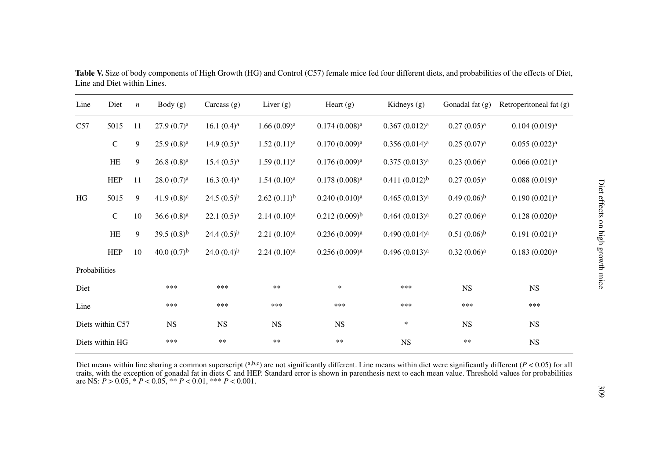| Line          | Diet             | $\boldsymbol{n}$ | Body(g)                | Carcass $(g)$          | Liver $(g)$             | Heart $(g)$               | Kidneys $(g)$             | Gonadal fat $(g)$       | Retroperitoneal fat (g)   |
|---------------|------------------|------------------|------------------------|------------------------|-------------------------|---------------------------|---------------------------|-------------------------|---------------------------|
| C57           | 5015             | 11               | 27.9(0.7) <sup>a</sup> | $16.1(0.4)^a$          | 1.66(0.09) <sup>a</sup> | 0.174(0.008) <sup>a</sup> | 0.367(0.012) <sup>a</sup> | 0.27(0.05) <sup>a</sup> | 0.104(0.019) <sup>a</sup> |
|               | ${\bf C}$        | 9                | $25.9(0.8)^a$          | 14.9(0.5) <sup>a</sup> | 1.52(0.11) <sup>a</sup> | 0.170(0.009) <sup>a</sup> | 0.356(0.014) <sup>a</sup> | 0.25(0.07) <sup>a</sup> | 0.055(0.022) <sup>a</sup> |
|               | HE               | 9                | $26.8(0.8)^a$          | $15.4(0.5)^a$          | 1.59(0.11) <sup>a</sup> | 0.176(0.009) <sup>a</sup> | 0.375(0.013) <sup>a</sup> | 0.23(0.06) <sup>a</sup> | 0.066(0.021) <sup>a</sup> |
|               | <b>HEP</b>       | 11               | 28.0(0.7) <sup>a</sup> | 16.3(0.4) <sup>a</sup> | 1.54(0.10) <sup>a</sup> | 0.178(0.008) <sup>a</sup> | $0.411(0.012)^{b}$        | $0.27(0.05)^{a}$        | 0.088(0.019) <sup>a</sup> |
| HG            | 5015             | 9                | 41.9 $(0.8)^c$         | 24.5 $(0.5)^{b}$       | $2.62(0.11)^{b}$        | 0.240(0.010) <sup>a</sup> | $0.465(0.013)^{a}$        | $(0.49)(0.06)^{b}$      | $0.190(0.021)^a$          |
|               | ${\bf C}$        | 10               | $36.6(0.8)^a$          | $22.1(0.5)^a$          | 2.14(0.10) <sup>a</sup> | $(0.212(0.009)^b)$        | $0.464 (0.013)^{a}$       | 0.27(0.06) <sup>a</sup> | 0.128(0.020) <sup>a</sup> |
|               | HE               | 9                | 39.5 $(0.8)^{b}$       | 24.4 $(0.5)^{b}$       | 2.21(0.10) <sup>a</sup> | 0.236(0.009) <sup>a</sup> | 0.490(0.014) <sup>a</sup> | $0.51(0.06)^{b}$        | $0.191 (0.021)^a$         |
|               | <b>HEP</b>       | 10               | 40.0 $(0.7)^{b}$       | 24.0 $(0.4)^{b}$       | 2.24(0.10) <sup>a</sup> | $0.256(0.009)^{a}$        | $0.496(0.013)^{a}$        | 0.32(0.06) <sup>a</sup> | 0.183(0.020) <sup>a</sup> |
| Probabilities |                  |                  |                        |                        |                         |                           |                           |                         |                           |
| Diet          |                  |                  | ***                    | ***                    | $\ast\ast$              | $\ast$                    | ***                       | <b>NS</b>               | <b>NS</b>                 |
| Line          |                  |                  | ***                    | ***                    | ***                     | ***                       | ***                       | ***                     | ***                       |
|               | Diets within C57 |                  | <b>NS</b>              | <b>NS</b>              | <b>NS</b>               | <b>NS</b>                 | $\ast$                    | <b>NS</b>               | <b>NS</b>                 |
|               | Diets within HG  |                  | ***                    | $\ast\ast$             | $**$                    | $\ast\ast$                | $_{\rm NS}$               | $**$                    | $_{\rm NS}$               |

**Table V.** Size of body components of High Growth (HG) and Control (C57) female mice fed four different diets, and probabilities of the effects of Diet, Line and Diet within Lines.

Diet means within line sharing a common superscript  $(^{a,b,c})$  are not significantly different. Line means within diet were significantly different  $(P < 0.05)$  for all traits, with the exception of gonadal fat in diets C and HEP. Standard error is shown in parenthesis next to each mean value. Threshold values for probabilities are NS: *P* > 0.05, \* *P* < 0.05, \*\* *P* < 0.01, \*\*\* *P* < 0.001.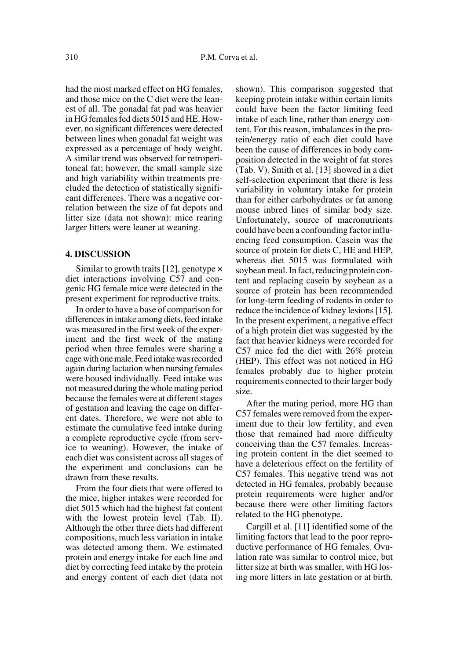had the most marked effect on HG females, and those mice on the C diet were the leanest of all. The gonadal fat pad was heavier in HG females fed diets 5015 and HE. However, no significant differences were detected between lines when gonadal fat weight was expressed as a percentage of body weight. A similar trend was observed for retroperitoneal fat; however, the small sample size and high variability within treatments precluded the detection of statistically significant differences. There was a negative correlation between the size of fat depots and litter size (data not shown): mice rearing larger litters were leaner at weaning.

## **4. DISCUSSION**

Similar to growth traits [12], genotype  $\times$ diet interactions involving C57 and congenic HG female mice were detected in the present experiment for reproductive traits.

In order to have a base of comparison for differences in intake among diets, feed intake was measured in the first week of the experiment and the first week of the mating period when three females were sharing a cage with one male. Feed intake was recorded again during lactation when nursing females were housed individually. Feed intake was not measured during the whole mating period because the females were at different stages of gestation and leaving the cage on different dates. Therefore, we were not able to estimate the cumulative feed intake during a complete reproductive cycle (from service to weaning). However, the intake of each diet was consistent across all stages of the experiment and conclusions can be drawn from these results.

From the four diets that were offered to the mice, higher intakes were recorded for diet 5015 which had the highest fat content with the lowest protein level (Tab. II). Although the other three diets had different compositions, much less variation in intake was detected among them. We estimated protein and energy intake for each line and diet by correcting feed intake by the protein and energy content of each diet (data not

shown). This comparison suggested that keeping protein intake within certain limits could have been the factor limiting feed intake of each line, rather than energy content. For this reason, imbalances in the protein/energy ratio of each diet could have been the cause of differences in body composition detected in the weight of fat stores (Tab. V). Smith et al. [13] showed in a diet self-selection experiment that there is less variability in voluntary intake for protein than for either carbohydrates or fat among mouse inbred lines of similar body size. Unfortunately, source of macronutrients could have been a confounding factor influencing feed consumption. Casein was the source of protein for diets C, HE and HEP, whereas diet 5015 was formulated with soybean meal. In fact, reducing protein content and replacing casein by soybean as a source of protein has been recommended for long-term feeding of rodents in order to reduce the incidence of kidney lesions [15]. In the present experiment, a negative effect of a high protein diet was suggested by the fact that heavier kidneys were recorded for C57 mice fed the diet with 26% protein (HEP). This effect was not noticed in HG females probably due to higher protein requirements connected to their larger body size.

After the mating period, more HG than C57 females were removed from the experiment due to their low fertility, and even those that remained had more difficulty conceiving than the C57 females. Increasing protein content in the diet seemed to have a deleterious effect on the fertility of C57 females. This negative trend was not detected in HG females, probably because protein requirements were higher and/or because there were other limiting factors related to the HG phenotype.

Cargill et al. [11] identified some of the limiting factors that lead to the poor reproductive performance of HG females. Ovulation rate was similar to control mice, but litter size at birth was smaller, with HG losing more litters in late gestation or at birth.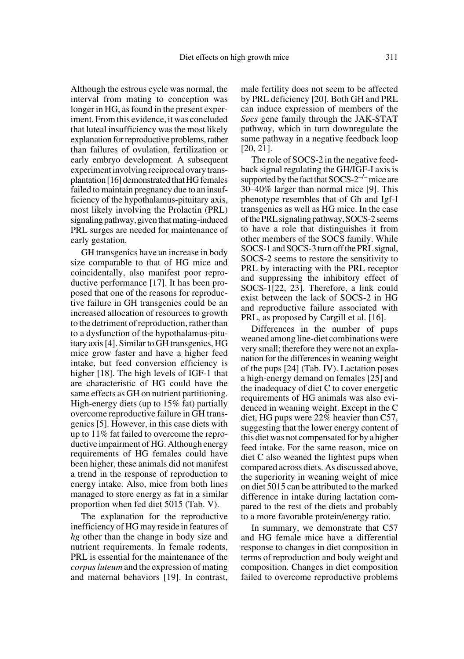Although the estrous cycle was normal, the interval from mating to conception was longer in HG, as found in the present experiment. From this evidence, it was concluded that luteal insufficiency was the most likely explanation for reproductive problems, rather than failures of ovulation, fertilization or early embryo development. A subsequent experiment involving reciprocal ovary transplantation [16] demonstrated that HG females failed to maintain pregnancy due to an insufficiency of the hypothalamus-pituitary axis, most likely involving the Prolactin (PRL) signaling pathway, given that mating-induced PRL surges are needed for maintenance of early gestation.

GH transgenics have an increase in body size comparable to that of HG mice and coincidentally, also manifest poor reproductive performance [17]. It has been proposed that one of the reasons for reproductive failure in GH transgenics could be an increased allocation of resources to growth to the detriment of reproduction, rather than to a dysfunction of the hypothalamus-pituitary axis [4]. Similar to GH transgenics, HG mice grow faster and have a higher feed intake, but feed conversion efficiency is higher [18]. The high levels of IGF-1 that are characteristic of HG could have the same effects as GH on nutrient partitioning. High-energy diets (up to 15% fat) partially overcome reproductive failure in GH transgenics [5]. However, in this case diets with up to 11% fat failed to overcome the reproductive impairment of HG. Although energy requirements of HG females could have been higher, these animals did not manifest a trend in the response of reproduction to energy intake. Also, mice from both lines managed to store energy as fat in a similar proportion when fed diet 5015 (Tab. V).

The explanation for the reproductive inefficiency of HG may reside in features of *hg* other than the change in body size and nutrient requirements. In female rodents, PRL is essential for the maintenance of the *corpus luteum* and the expression of mating and maternal behaviors [19]. In contrast,

male fertility does not seem to be affected by PRL deficiency [20]. Both GH and PRL can induce expression of members of the *Socs* gene family through the JAK-STAT pathway, which in turn downregulate the same pathway in a negative feedback loop [20, 21].

The role of SOCS-2 in the negative feedback signal regulating the GH/IGF-I axis is supported by the fact that  $SOCS-2^{-/-}$  mice are 30–40% larger than normal mice [9]. This phenotype resembles that of Gh and Igf-I transgenics as well as HG mice. In the case of the PRL signaling pathway, SOCS-2 seems to have a role that distinguishes it from other members of the SOCS family. While SOCS-1 and SOCS-3 turn off the PRL signal, SOCS-2 seems to restore the sensitivity to PRL by interacting with the PRL receptor and suppressing the inhibitory effect of SOCS-1[22, 23]. Therefore, a link could exist between the lack of SOCS-2 in HG and reproductive failure associated with PRL, as proposed by Cargill et al. [16].

Differences in the number of pups weaned among line-diet combinations were very small; therefore they were not an explanation for the differences in weaning weight of the pups [24] (Tab. IV). Lactation poses a high-energy demand on females [25] and the inadequacy of diet C to cover energetic requirements of HG animals was also evidenced in weaning weight. Except in the C diet, HG pups were 22% heavier than C57, suggesting that the lower energy content of this diet was not compensated for by a higher feed intake. For the same reason, mice on diet C also weaned the lightest pups when compared across diets. As discussed above, the superiority in weaning weight of mice on diet 5015 can be attributed to the marked difference in intake during lactation compared to the rest of the diets and probably to a more favorable protein/energy ratio.

In summary, we demonstrate that C57 and HG female mice have a differential response to changes in diet composition in terms of reproduction and body weight and composition. Changes in diet composition failed to overcome reproductive problems